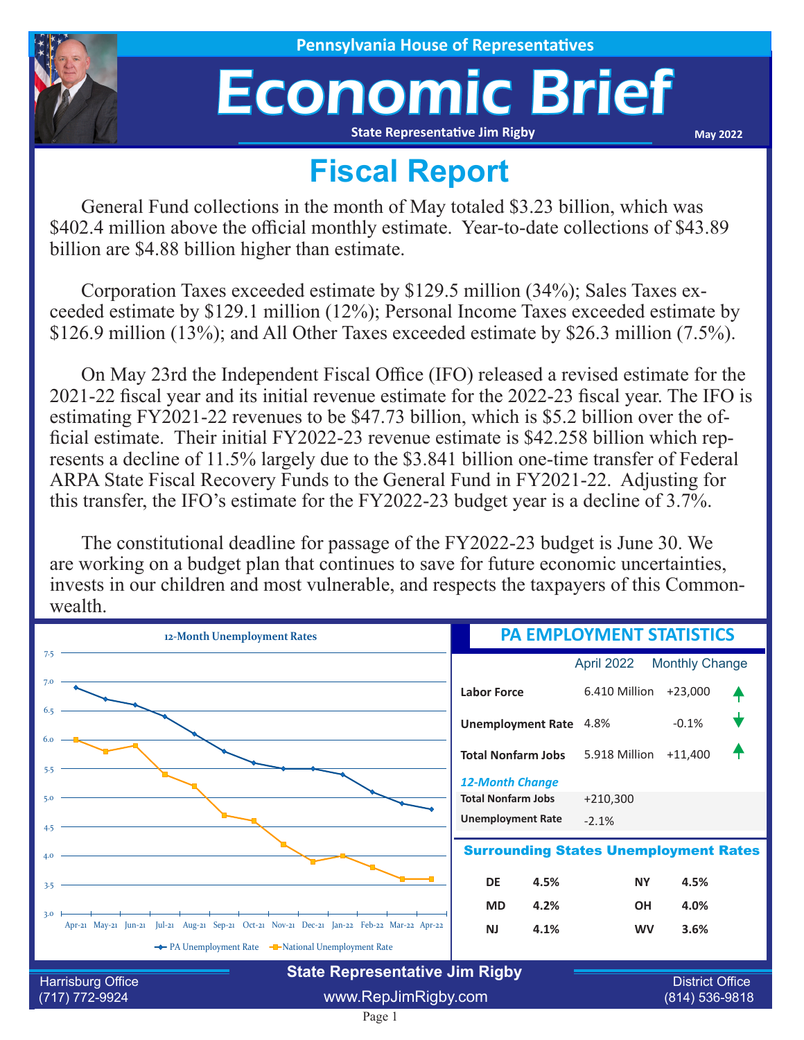

**House of Representatives** 

## Economic Brief **State Representative Jim Rigby**

**May 2022**

## **Fiscal Report**

General Fund collections in the month of May totaled \$3.23 billion, which was \$402.4 million above the official monthly estimate. Year-to-date collections of \$43.89 billion are \$4.88 billion higher than estimate.

Corporation Taxes exceeded estimate by \$129.5 million (34%); Sales Taxes exceeded estimate by \$129.1 million (12%); Personal Income Taxes exceeded estimate by \$126.9 million (13%); and All Other Taxes exceeded estimate by \$26.3 million (7.5%).

On May 23rd the Independent Fiscal Office (IFO) released a revised estimate for the 2021-22 fiscal year and its initial revenue estimate for the 2022-23 fiscal year. The IFO is estimating FY2021-22 revenues to be \$47.73 billion, which is \$5.2 billion over the official estimate. Their initial FY2022-23 revenue estimate is \$42.258 billion which represents a decline of 11.5% largely due to the \$3.841 billion one-time transfer of Federal ARPA State Fiscal Recovery Funds to the General Fund in FY2021-22. Adjusting for this transfer, the IFO's estimate for the FY2022-23 budget year is a decline of 3.7%.

The constitutional deadline for passage of the FY2022-23 budget is June 30. We are working on a budget plan that continues to save for future economic uncertainties, invests in our children and most vulnerable, and respects the taxpayers of this Commonwealth.

| 12-Month Unemployment Rates                                                                | <b>PA EMPLOYMENT STATISTICS</b>                     |               |                        |  |  |
|--------------------------------------------------------------------------------------------|-----------------------------------------------------|---------------|------------------------|--|--|
| 7.5                                                                                        |                                                     | April 2022    | <b>Monthly Change</b>  |  |  |
| 7.0                                                                                        | <b>Labor Force</b>                                  | 6.410 Million | $+23,000$              |  |  |
| 6.5                                                                                        | <b>Unemployment Rate</b>                            | 4.8%          | $-0.1%$                |  |  |
| 6.0<br>5.5                                                                                 | <b>Total Nonfarm Jobs</b>                           | 5.918 Million | $+11,400$              |  |  |
| 5.0                                                                                        | <b>12-Month Change</b><br><b>Total Nonfarm Jobs</b> | $+210,300$    |                        |  |  |
| 4.5                                                                                        | <b>Unemployment Rate</b>                            | $-2.1%$       |                        |  |  |
| 4.0                                                                                        | <b>Surrounding States Unemployment Rates</b>        |               |                        |  |  |
| 3.5                                                                                        | <b>DE</b><br>4.5%                                   | <b>NY</b>     | 4.5%                   |  |  |
| 3.0                                                                                        | 4.2%<br><b>MD</b>                                   | <b>OH</b>     | 4.0%                   |  |  |
| Apr-21 May-21 Jun-21 Jul-21 Aug-21 Sep-21 Oct-21 Nov-21 Dec-21 Jan-22 Feb-22 Mar-22 Apr-22 | 4.1%<br><b>NJ</b>                                   | <b>WV</b>     | 3.6%                   |  |  |
| The PA Unemployment Rate THE-National Unemployment Rate                                    |                                                     |               |                        |  |  |
| Harrisburg Office                                                                          | <b>State Representative Jim Rigby</b>               |               | <b>District Office</b> |  |  |
| $(717) 772 - 9924$                                                                         | www.RepJimRigby.com                                 |               | (814) 536-9818         |  |  |